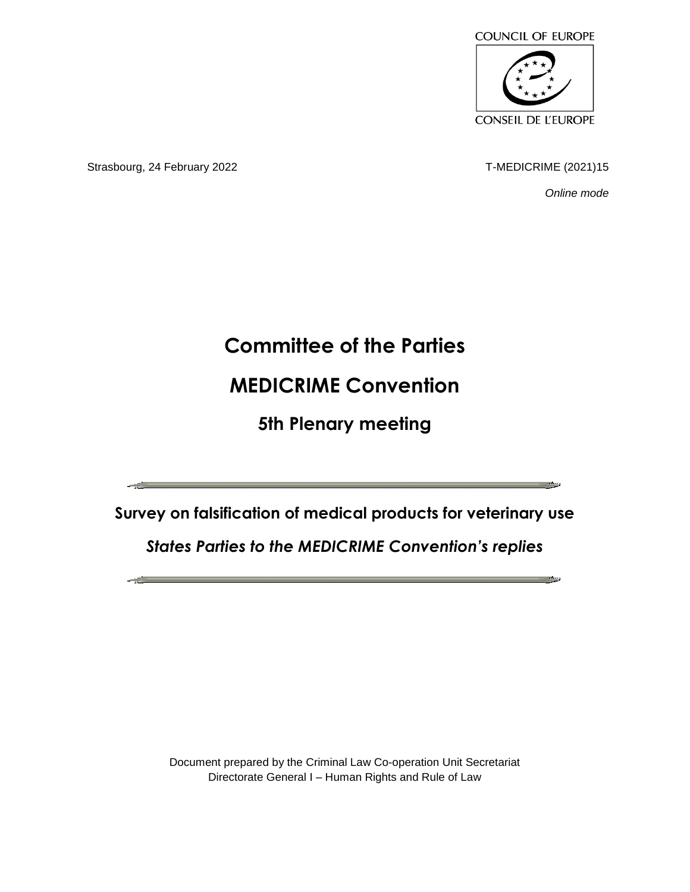

Strasbourg, 24 February 2022 **T-MEDICRIME** (2021)15

*Online mode*

## **Committee of the Parties**

## **MEDICRIME Convention**

**5th Plenary meeting**

**Survey on falsification of medical products for veterinary use**

*States Parties to the MEDICRIME Convention's replies*

Document prepared by the Criminal Law Co-operation Unit Secretariat Directorate General I – Human Rights and Rule of Law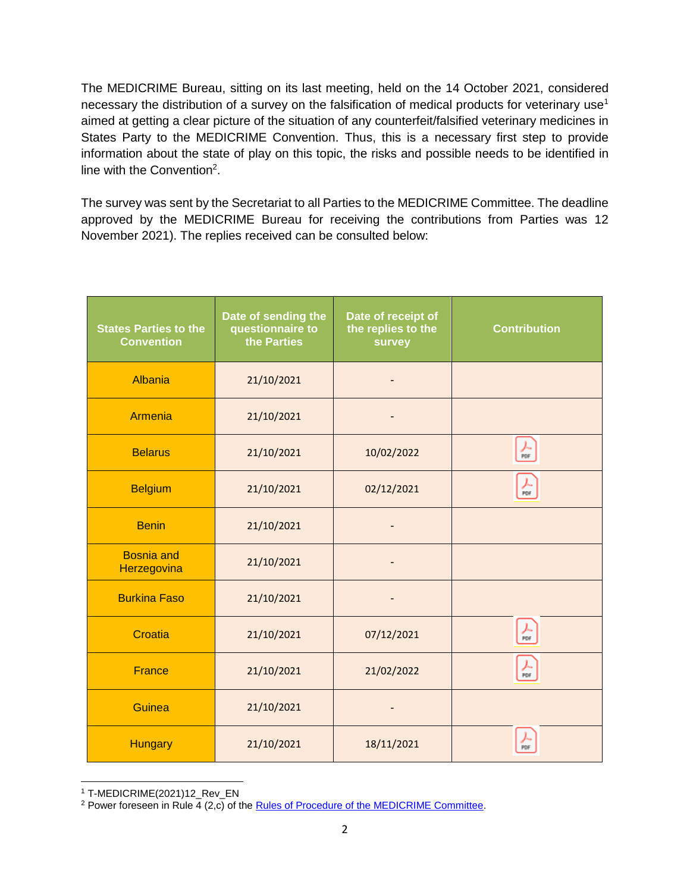The MEDICRIME Bureau, sitting on its last meeting, held on the 14 October 2021, considered necessary the distribution of a survey on the falsification of medical products for veterinary use<sup>1</sup> aimed at getting a clear picture of the situation of any counterfeit/falsified veterinary medicines in States Party to the MEDICRIME Convention. Thus, this is a necessary first step to provide information about the state of play on this topic, the risks and possible needs to be identified in line with the Convention<sup>2</sup>.

The survey was sent by the Secretariat to all Parties to the MEDICRIME Committee. The deadline approved by the MEDICRIME Bureau for receiving the contributions from Parties was 12 November 2021). The replies received can be consulted below:

| <b>States Parties to the</b><br><b>Convention</b> | Date of sending the<br>questionnaire to<br>the Parties | Date of receipt of<br>the replies to the<br>survey | <b>Contribution</b> |
|---------------------------------------------------|--------------------------------------------------------|----------------------------------------------------|---------------------|
| Albania                                           | 21/10/2021                                             |                                                    |                     |
| <b>Armenia</b>                                    | 21/10/2021                                             |                                                    |                     |
| <b>Belarus</b>                                    | 21/10/2021                                             | 10/02/2022                                         | 人<br>PDF            |
| <b>Belgium</b>                                    | 21/10/2021                                             | 02/12/2021                                         | 슸                   |
| <b>Benin</b>                                      | 21/10/2021                                             |                                                    |                     |
| <b>Bosnia</b> and<br>Herzegovina                  | 21/10/2021                                             |                                                    |                     |
| <b>Burkina Faso</b>                               | 21/10/2021                                             |                                                    |                     |
| Croatia                                           | 21/10/2021                                             | 07/12/2021                                         | $\frac{1}{\pi}$     |
| <b>France</b>                                     | 21/10/2021                                             | 21/02/2022                                         | 人<br>PDF            |
| Guinea                                            | 21/10/2021                                             |                                                    |                     |
| <b>Hungary</b>                                    | 21/10/2021                                             | 18/11/2021                                         | ⋏<br>PDF            |

 $\overline{a}$ <sup>1</sup> T-MEDICRIME(2021)12\_Rev\_EN

<sup>&</sup>lt;sup>2</sup> Power foreseen in Rule  $\overline{4}$  (2,c) of the [Rules of Procedure of the MEDICRIME Committee.](https://rm.coe.int/rop-medicrime-committee-en/16809ece96)